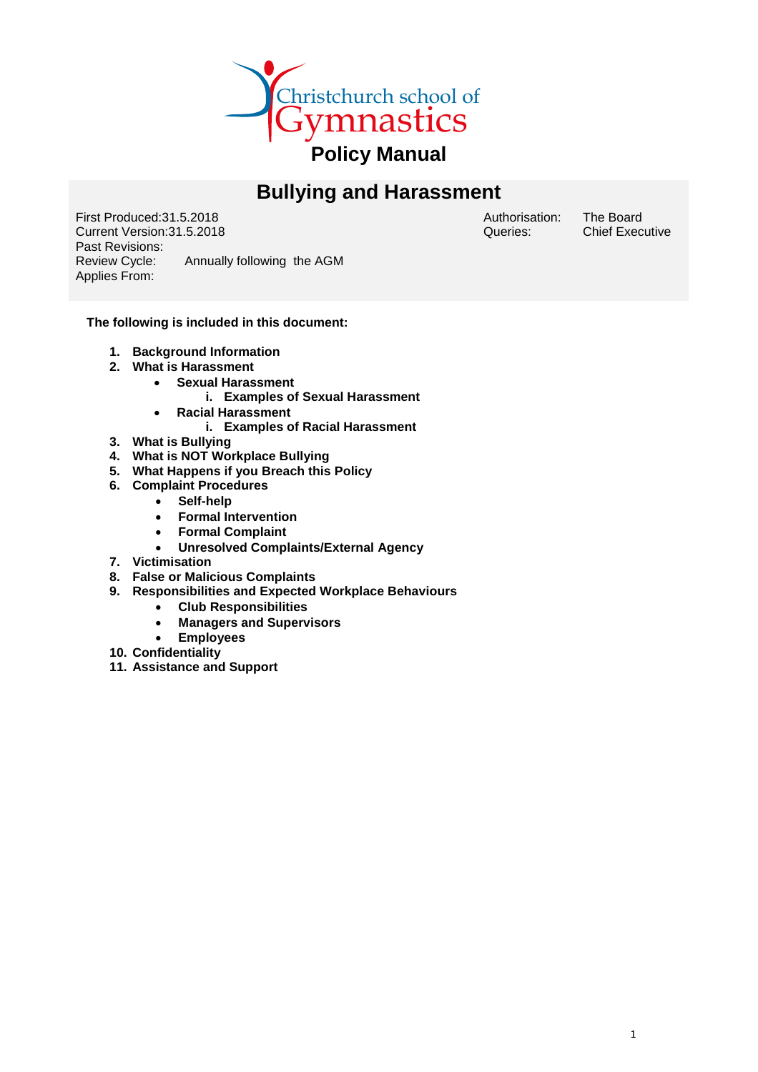

# **Bullying and Harassment**

First Produced:31.5.2018 Current Version:31.5.2018 Past Revisions:<br>Review Cycle: Annually following the AGM Applies From:

Authorisation: Queries:

The Board Chief Executive

## **The following is included in this document:**

- **1. Background Information**
- **2. What is Harassment**
	- **Sexual Harassment**
		- **i. Examples of Sexual Harassment**
	- **Racial Harassment** 
		- **i. Examples of Racial Harassment**
- **3. What is Bullying**
- **4. What is NOT Workplace Bullying**
- **5. What Happens if you Breach this Policy**
- **6. Complaint Procedures**
	- **Self-help**
	- **Formal Intervention**
	- **Formal Complaint**
	- **Unresolved Complaints/External Agency**
- **7. Victimisation**
- **8. False or Malicious Complaints**
- **9. Responsibilities and Expected Workplace Behaviours**
	- **Club Responsibilities**
	- **Managers and Supervisors**
	- **Employees**
- **10. Confidentiality**
- **11. Assistance and Support**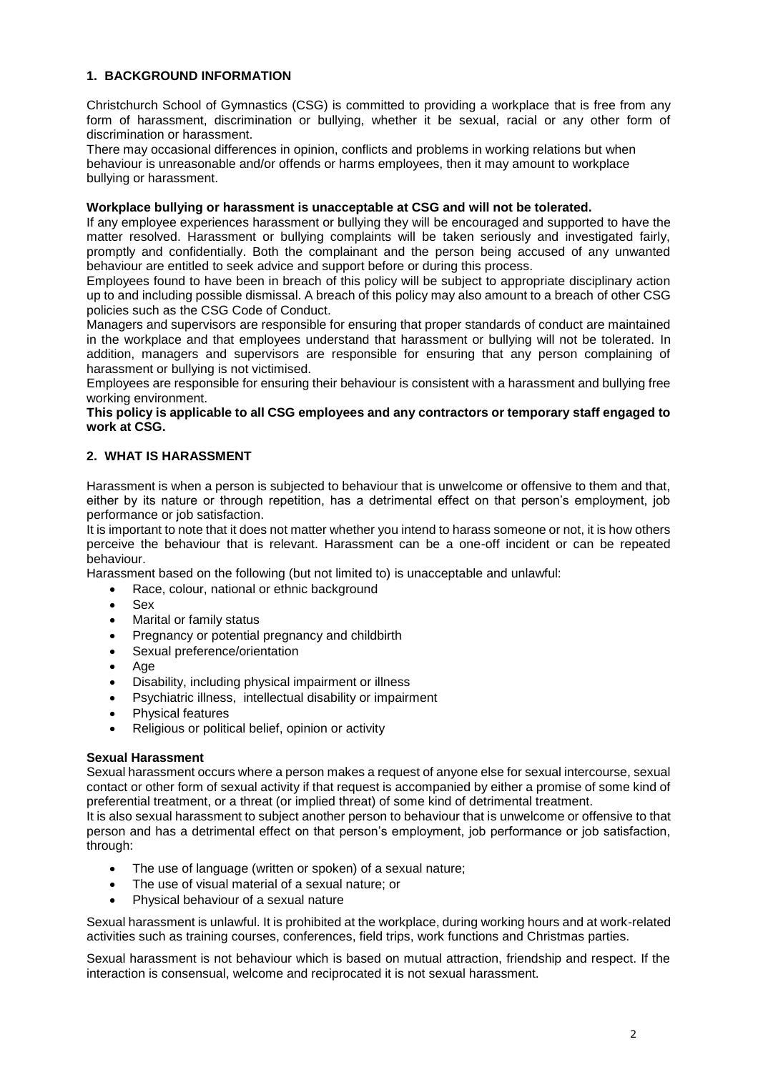## **1. BACKGROUND INFORMATION**

Christchurch School of Gymnastics (CSG) is committed to providing a workplace that is free from any form of harassment, discrimination or bullying, whether it be sexual, racial or any other form of discrimination or harassment.

There may occasional differences in opinion, conflicts and problems in working relations but when behaviour is unreasonable and/or offends or harms employees, then it may amount to workplace bullying or harassment.

## **Workplace bullying or harassment is unacceptable at CSG and will not be tolerated.**

If any employee experiences harassment or bullying they will be encouraged and supported to have the matter resolved. Harassment or bullying complaints will be taken seriously and investigated fairly, promptly and confidentially. Both the complainant and the person being accused of any unwanted behaviour are entitled to seek advice and support before or during this process.

Employees found to have been in breach of this policy will be subject to appropriate disciplinary action up to and including possible dismissal. A breach of this policy may also amount to a breach of other CSG policies such as the CSG Code of Conduct.

Managers and supervisors are responsible for ensuring that proper standards of conduct are maintained in the workplace and that employees understand that harassment or bullying will not be tolerated. In addition, managers and supervisors are responsible for ensuring that any person complaining of harassment or bullying is not victimised.

Employees are responsible for ensuring their behaviour is consistent with a harassment and bullying free working environment.

#### **This policy is applicable to all CSG employees and any contractors or temporary staff engaged to work at CSG.**

## **2. WHAT IS HARASSMENT**

Harassment is when a person is subjected to behaviour that is unwelcome or offensive to them and that, either by its nature or through repetition, has a detrimental effect on that person's employment, job performance or job satisfaction.

It is important to note that it does not matter whether you intend to harass someone or not, it is how others perceive the behaviour that is relevant. Harassment can be a one-off incident or can be repeated behaviour.

Harassment based on the following (but not limited to) is unacceptable and unlawful:

- Race, colour, national or ethnic background
- Sex
- Marital or family status
- Pregnancy or potential pregnancy and childbirth
- Sexual preference/orientation
- Age
- Disability, including physical impairment or illness
- Psychiatric illness, intellectual disability or impairment
- Physical features
- Religious or political belief, opinion or activity

#### **Sexual Harassment**

Sexual harassment occurs where a person makes a request of anyone else for sexual intercourse, sexual contact or other form of sexual activity if that request is accompanied by either a promise of some kind of preferential treatment, or a threat (or implied threat) of some kind of detrimental treatment.

It is also sexual harassment to subject another person to behaviour that is unwelcome or offensive to that person and has a detrimental effect on that person's employment, job performance or job satisfaction, through:

- The use of language (written or spoken) of a sexual nature;
- The use of visual material of a sexual nature; or
- Physical behaviour of a sexual nature

Sexual harassment is unlawful. It is prohibited at the workplace, during working hours and at work-related activities such as training courses, conferences, field trips, work functions and Christmas parties.

Sexual harassment is not behaviour which is based on mutual attraction, friendship and respect. If the interaction is consensual, welcome and reciprocated it is not sexual harassment.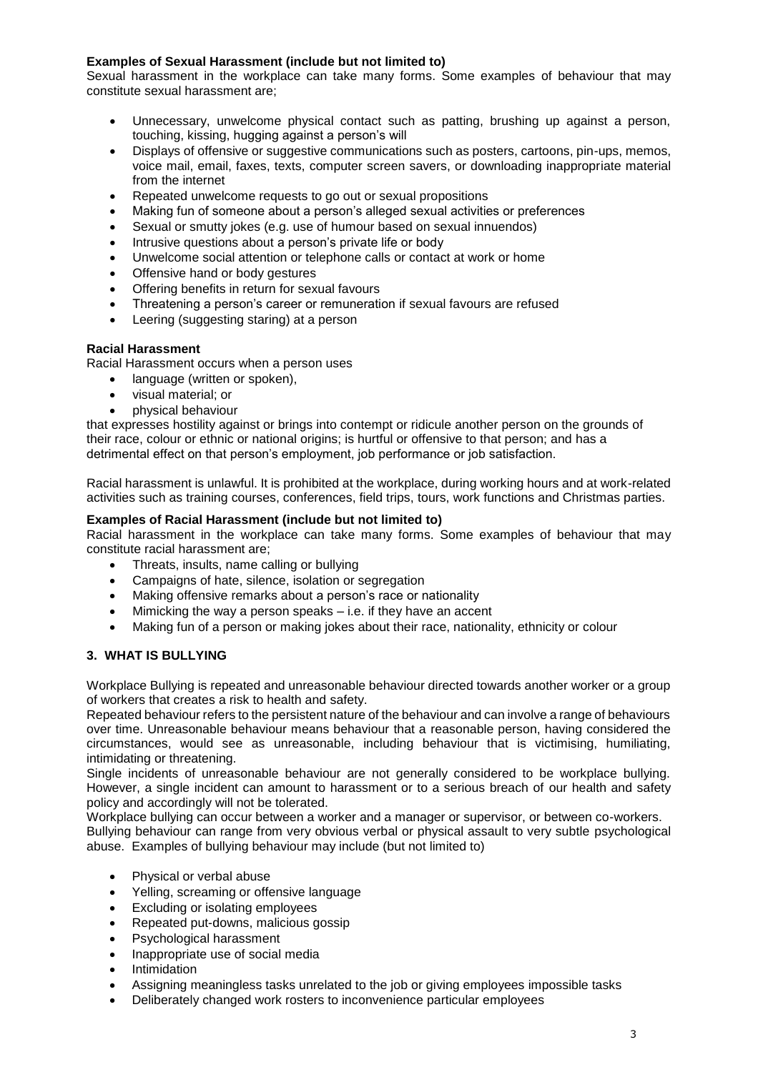## **Examples of Sexual Harassment (include but not limited to)**

Sexual harassment in the workplace can take many forms. Some examples of behaviour that may constitute sexual harassment are;

- Unnecessary, unwelcome physical contact such as patting, brushing up against a person, touching, kissing, hugging against a person's will
- Displays of offensive or suggestive communications such as posters, cartoons, pin-ups, memos, voice mail, email, faxes, texts, computer screen savers, or downloading inappropriate material from the internet
- Repeated unwelcome requests to go out or sexual propositions
- Making fun of someone about a person's alleged sexual activities or preferences
- Sexual or smutty jokes (e.g. use of humour based on sexual innuendos)
- Intrusive questions about a person's private life or body
- Unwelcome social attention or telephone calls or contact at work or home
- Offensive hand or body gestures
- Offering benefits in return for sexual favours
- Threatening a person's career or remuneration if sexual favours are refused
- Leering (suggesting staring) at a person

## **Racial Harassment**

Racial Harassment occurs when a person uses

- language (written or spoken),
- visual material; or
- physical behaviour

that expresses hostility against or brings into contempt or ridicule another person on the grounds of their race, colour or ethnic or national origins; is hurtful or offensive to that person; and has a detrimental effect on that person's employment, job performance or job satisfaction.

Racial harassment is unlawful. It is prohibited at the workplace, during working hours and at work-related activities such as training courses, conferences, field trips, tours, work functions and Christmas parties.

## **Examples of Racial Harassment (include but not limited to)**

Racial harassment in the workplace can take many forms. Some examples of behaviour that may constitute racial harassment are;

- Threats, insults, name calling or bullying
- Campaigns of hate, silence, isolation or segregation
- Making offensive remarks about a person's race or nationality
- Mimicking the way a person speaks i.e. if they have an accent
- Making fun of a person or making jokes about their race, nationality, ethnicity or colour

## **3. WHAT IS BULLYING**

Workplace Bullying is repeated and unreasonable behaviour directed towards another worker or a group of workers that creates a risk to health and safety.

Repeated behaviour refers to the persistent nature of the behaviour and can involve a range of behaviours over time. Unreasonable behaviour means behaviour that a reasonable person, having considered the circumstances, would see as unreasonable, including behaviour that is victimising, humiliating, intimidating or threatening.

Single incidents of unreasonable behaviour are not generally considered to be workplace bullying. However, a single incident can amount to harassment or to a serious breach of our health and safety policy and accordingly will not be tolerated.

Workplace bullying can occur between a worker and a manager or supervisor, or between co-workers. Bullying behaviour can range from very obvious verbal or physical assault to very subtle psychological abuse. Examples of bullying behaviour may include (but not limited to)

- Physical or verbal abuse
- Yelling, screaming or offensive language
- Excluding or isolating employees
- Repeated put-downs, malicious gossip
- Psychological harassment
- Inappropriate use of social media
- Intimidation
- Assigning meaningless tasks unrelated to the job or giving employees impossible tasks
- Deliberately changed work rosters to inconvenience particular employees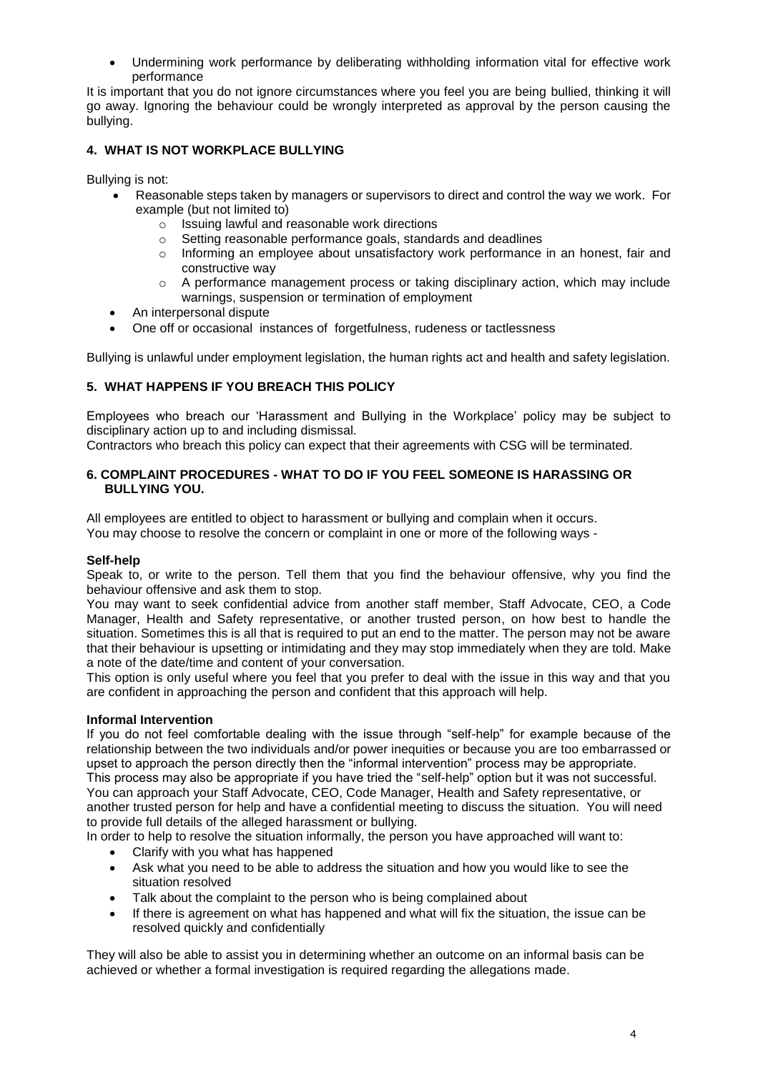Undermining work performance by deliberating withholding information vital for effective work performance

It is important that you do not ignore circumstances where you feel you are being bullied, thinking it will go away. Ignoring the behaviour could be wrongly interpreted as approval by the person causing the bullying.

## **4. WHAT IS NOT WORKPLACE BULLYING**

Bullying is not:

- Reasonable steps taken by managers or supervisors to direct and control the way we work. For example (but not limited to)
	- o Issuing lawful and reasonable work directions
	- o Setting reasonable performance goals, standards and deadlines
	- $\circ$  Informing an employee about unsatisfactory work performance in an honest, fair and constructive way
	- $\circ$  A performance management process or taking disciplinary action, which may include warnings, suspension or termination of employment
- An interpersonal dispute
- One off or occasional instances of forgetfulness, rudeness or tactlessness

Bullying is unlawful under employment legislation, the human rights act and health and safety legislation.

## **5. WHAT HAPPENS IF YOU BREACH THIS POLICY**

Employees who breach our 'Harassment and Bullying in the Workplace' policy may be subject to disciplinary action up to and including dismissal.

Contractors who breach this policy can expect that their agreements with CSG will be terminated.

#### **6. COMPLAINT PROCEDURES - WHAT TO DO IF YOU FEEL SOMEONE IS HARASSING OR BULLYING YOU.**

All employees are entitled to object to harassment or bullying and complain when it occurs. You may choose to resolve the concern or complaint in one or more of the following ways -

## **Self-help**

Speak to, or write to the person. Tell them that you find the behaviour offensive, why you find the behaviour offensive and ask them to stop.

You may want to seek confidential advice from another staff member, Staff Advocate, CEO, a Code Manager, Health and Safety representative, or another trusted person, on how best to handle the situation. Sometimes this is all that is required to put an end to the matter. The person may not be aware that their behaviour is upsetting or intimidating and they may stop immediately when they are told. Make a note of the date/time and content of your conversation.

This option is only useful where you feel that you prefer to deal with the issue in this way and that you are confident in approaching the person and confident that this approach will help.

#### **Informal Intervention**

If you do not feel comfortable dealing with the issue through "self-help" for example because of the relationship between the two individuals and/or power inequities or because you are too embarrassed or upset to approach the person directly then the "informal intervention" process may be appropriate. This process may also be appropriate if you have tried the "self-help" option but it was not successful. You can approach your Staff Advocate, CEO, Code Manager, Health and Safety representative, or another trusted person for help and have a confidential meeting to discuss the situation. You will need to provide full details of the alleged harassment or bullying.

In order to help to resolve the situation informally, the person you have approached will want to:

- Clarify with you what has happened
- Ask what you need to be able to address the situation and how you would like to see the situation resolved
- Talk about the complaint to the person who is being complained about
- If there is agreement on what has happened and what will fix the situation, the issue can be resolved quickly and confidentially

They will also be able to assist you in determining whether an outcome on an informal basis can be achieved or whether a formal investigation is required regarding the allegations made.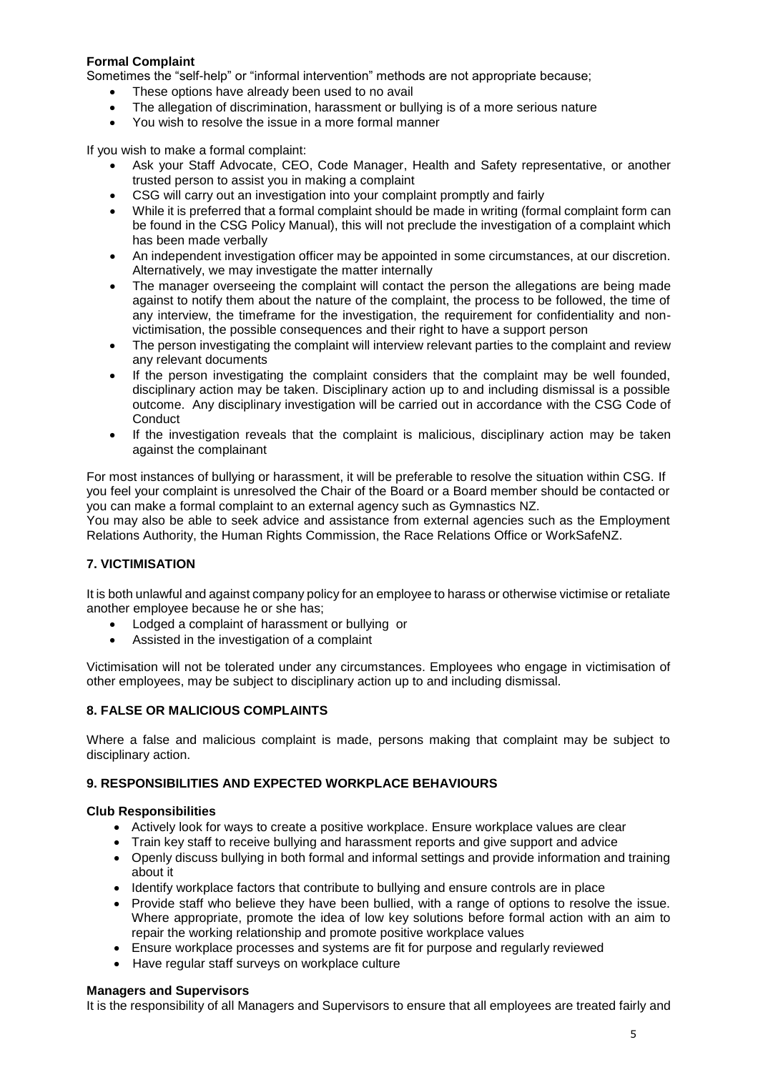## **Formal Complaint**

Sometimes the "self-help" or "informal intervention" methods are not appropriate because;

- These options have already been used to no avail
- The allegation of discrimination, harassment or bullying is of a more serious nature
- You wish to resolve the issue in a more formal manner

If you wish to make a formal complaint:

- Ask your Staff Advocate, CEO, Code Manager, Health and Safety representative, or another trusted person to assist you in making a complaint
- CSG will carry out an investigation into your complaint promptly and fairly
- While it is preferred that a formal complaint should be made in writing (formal complaint form can be found in the CSG Policy Manual), this will not preclude the investigation of a complaint which has been made verbally
- An independent investigation officer may be appointed in some circumstances, at our discretion. Alternatively, we may investigate the matter internally
- The manager overseeing the complaint will contact the person the allegations are being made against to notify them about the nature of the complaint, the process to be followed, the time of any interview, the timeframe for the investigation, the requirement for confidentiality and nonvictimisation, the possible consequences and their right to have a support person
- The person investigating the complaint will interview relevant parties to the complaint and review any relevant documents
- If the person investigating the complaint considers that the complaint may be well founded, disciplinary action may be taken. Disciplinary action up to and including dismissal is a possible outcome. Any disciplinary investigation will be carried out in accordance with the CSG Code of **Conduct**
- If the investigation reveals that the complaint is malicious, disciplinary action may be taken against the complainant

For most instances of bullying or harassment, it will be preferable to resolve the situation within CSG. If you feel your complaint is unresolved the Chair of the Board or a Board member should be contacted or you can make a formal complaint to an external agency such as Gymnastics NZ.

You may also be able to seek advice and assistance from external agencies such as the Employment Relations Authority, the Human Rights Commission, the Race Relations Office or WorkSafeNZ.

## **7. VICTIMISATION**

It is both unlawful and against company policy for an employee to harass or otherwise victimise or retaliate another employee because he or she has;

- Lodged a complaint of harassment or bullying or
- Assisted in the investigation of a complaint

Victimisation will not be tolerated under any circumstances. Employees who engage in victimisation of other employees, may be subject to disciplinary action up to and including dismissal.

## **8. FALSE OR MALICIOUS COMPLAINTS**

Where a false and malicious complaint is made, persons making that complaint may be subject to disciplinary action.

## **9. RESPONSIBILITIES AND EXPECTED WORKPLACE BEHAVIOURS**

#### **Club Responsibilities**

- Actively look for ways to create a positive workplace. Ensure workplace values are clear
- Train key staff to receive bullying and harassment reports and give support and advice
- Openly discuss bullying in both formal and informal settings and provide information and training about it
- Identify workplace factors that contribute to bullying and ensure controls are in place
- Provide staff who believe they have been bullied, with a range of options to resolve the issue. Where appropriate, promote the idea of low key solutions before formal action with an aim to repair the working relationship and promote positive workplace values
- Ensure workplace processes and systems are fit for purpose and regularly reviewed
- Have regular staff surveys on workplace culture

#### **Managers and Supervisors**

It is the responsibility of all Managers and Supervisors to ensure that all employees are treated fairly and